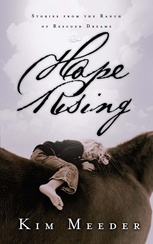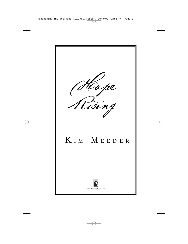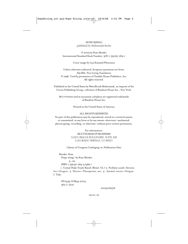#### HOPE RISING published by Multnomah Books

#### © 2003 by Kim Meeder International Standard Book Number: 978-1-59052-269-1

#### Cover image by Lisa Kimmel/Photonica

Unless otherwise indicated, Scripture quotations are from: *Holy Bible,* New Living Translation © 1996. Used by permission of Tyndale House Publishers, Inc. All rights reserved.

Published in the United States by WaterBrook Multnomah, an imprint of the Crown Publishing Group, a division of Random House Inc., New York.

MULTNOMAH and its mountain colophon are registered trademarks of Random House Inc.

Printed in the United States of America

#### ALL RIGHTS RESERVED

No part of this publication may be reproduced, stored in a retrieval system, or transmitted, in any form or by any means—electronic, mechanical, photocopying, recording, or otherwise—without prior written permission.

#### For information: MULTNOMAH PUBLISHERS 12265 ORACLE BOULEVARD, SUITE 200 COLORADO SPRINGS, CO 80921

#### Library of Congress Cataloging-in-Publication Data

Meeder, Kim. Hope rising / by Kim Meeder. p. cm. ISBN 1-59052-269-9 (pbk.)

1. Crystal Peaks Youth Ranch (Bend, Or.) 2. Problem youth—Services for—Oregon. 3. Horses—Therapeutic use. 4. Animal rescue—Oregon. I. Title.

HV1435.O7M44 2003 362.7—dc21

2003006576

09 10—12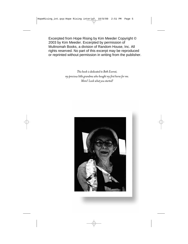Excerpted from Hope Rising by Kim Meeder Copyright © 2003 by Kim Meeder. Excerpted by permission of Multnomah Books, a division of Random House, Inc. All rights reserved. No part of this excerpt may be reproduced or reprinted without permission in writing from the publisher.

> *This book is dedicated to Beth Everest, my precious little grandma who bought my first horse for me. Mimi! Look what you started!*

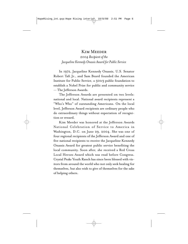# KIM MEEDER

Crystal Peaks Youth Ranch (CPYR) is a unique non- profit organization that rescues abused and neglected *Jacqueline Kennedy Onassis Award for Public Service*  $\frac{1}{2}$  and pairs them with seeking children. The main seeking children. The main seeking children. The main seeking children. The main seeking children. The main seeking children. The main seeking children. The main se *2004 Recipient of the*

In 1972, Jacqueline Kennedy Onassis, U.S. Senator with one horse, guidens continued by one continued by our continued the American the time. All this is done free of charge—always. Institute for Public Service, a 501c3 public foundation to The ranch supports twenty-five horses and meet the measurement of establish a Nobel Prize for public and community service the needs of four to five thousaisitors every year. -- The Jefferson Awards.

The Jefferson Awards are presented on two levels: that deals with youth and families. These include national and local. National award recipients represent a school districts, private "Who's Who" of outstanding Americans. On the local level, Jefferson Award recipients are ordinary people who do extraordinary things without expectation of recognition or reward.

counselors, and the Juvenile Justice local community. Soon after, she received a Red Cross Department. Although the ranch activities are Local Heroes Award which was read before Congress. designed for youth at risk, all children of all ages are Crystal Peaks Youth Ranch has since been blessed with viswelcome. itors from around the world who not only seek healing for A portion of the proceeds from the proceeding of the proceeding of the sales of the sales of the sales of the sales  $b_n$  $\mathbf{r}$ Kim Meeder was honored at the Jefferson Awards National Celebration of Service to America in Washington, D.C. on June 29, 2004. She was one of four regional recipients of the Jefferson Award and one of five national recipients to receive the Jacqueline Kennedy Onassis Award for greatest public service benefiting the themselves, but also wish to give of themselves for the sake of helping others.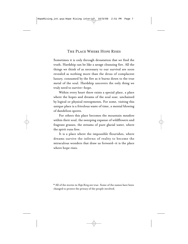#### The Place Where Hope Rises

Sometimes it is only through devastation that we find the truth. Hardship can be like a savage cleansing fire. All the things we think of as necessary to our survival are soon revealed as nothing more than the dross of complacent luxury, consumed by the fire as it burns down to the true metal of the soul. Hardship uncovers the only thing we truly need to survive—hope.

Within every heart there exists a special place, a place where the hopes and dreams of the soul soar, unchained by logical or physical entrapments. For some, visiting this unique place is a frivolous waste of time, a mental blowing of dandelion spores.

For others this place becomes the mountain meadow within their soul, the sweeping expanse of wildflowers and fragrant grasses, the streams of pure glacial water, where the spirit runs free.

It is a place where the impossible flourishes, where dreams survive the inferno of reality to become the miraculous wonders that draw us forward—it is the place where hope rises.

\* All of the stories in *Hope Rising* are true. Some of the names have been changed to protect the privacy of the people involved.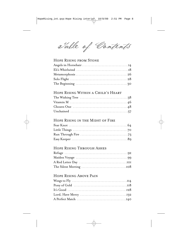T able of Contents

| HOPE RISING FROM STONE |
|------------------------|
|                        |
|                        |
|                        |
|                        |
|                        |

### Hope Rising Within a Child's Heart

### Hope Rising in the Midst of Fire

### Hope Rising Through Ashes

### Hope Rising Above Pain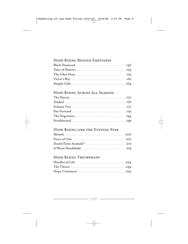## Hope Rising Beyond Emptiness

# Hope Rising Across All Seasons

| Solemn Vow $\dots\dots\dots\dots\dots\dots\dots\dots\dots\dots\dots\dots\dots\dots$ |  |
|-------------------------------------------------------------------------------------|--|
|                                                                                     |  |
|                                                                                     |  |
|                                                                                     |  |

# Hope Rising like the Evening Star

### Hope Rising Triumphant

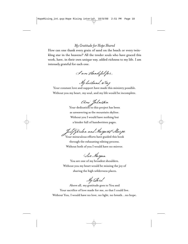#### *My Gratitude for Hope Shared*

How can one thank every grain of sand on the beach or every twinkling star in the heavens? All the tender souls who have graced this work, have, in their own unique way, added richness to my life. I am intensely grateful for each one.

I am thank ful for…

My husband, éroy

Your constant love and support have made this ministry possible. Without you my heart, my soul, and my life would be incomplete.

Ami Johnston

Your dedication to this project has been as unwavering as the mountain skyline. Without you I would have nothing but a binder full of handwritten pages.

Ju dy Gordon and Margaret Shar pe

Your miraculous efforts have guided this book through the exhausting editing process. Without both of you I would have no mirror.

Sue Morgan

You are one of my broadest shoulders. Without you my heart would be missing the joy of sharing the high wilderness places.

My Lord

Above all, my gratitude goes to You and Your sacrifice of love made for me, so that I could live. Without You, I would have no love, no light, no breath…no hope.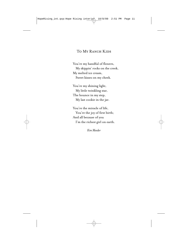### To My RANCH KIDS

You're my handful of flowers, My skippin' rocks on the creek, My melted ice cream, Sweet kisses on my cheek.

You're my shining light, My little twinkling star, The bounce in my step, My last cookie in the jar.

You're the miracle of life, You're the joy of first birth; And all because of you I'm the richest girl on earth.

*Kim Meeder*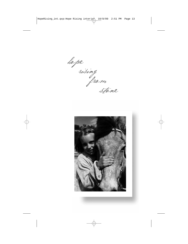ho pe rising from stone

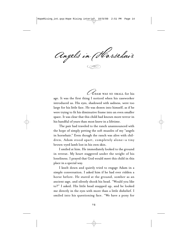Angels in (Harsehair  $\infty$ 

Adam was so small for his age. It was the first thing I noticed when his caseworker introduced us. His eyes, shadowed with sadness, were too large for his little face. He was drawn into himself, as if he were trying to fit his diminutive frame into an even smaller space. It was clear that this child had known more terror in his handful of years than most knew in a lifetime.

The pair had traveled to the ranch unannounced with the hope of simply petting the soft muzzles of my "angels in horsehair." Even though the ranch was alive with children, Adam stood apart, completely alone—a tiny brown-eyed lamb lost in his own skin.

I smiled at him. He immediately looked to the ground in retreat. My heart staggered under the weight of his loneliness. I prayed that God would meet this child in this place in a special way.

I knelt down and quietly tried to engage Adam in a simple conversation. I asked him if he had ever ridden a horse before. He stared at the ground, somber as an ancient sage, and silently shook his head. "Would you like to?" I asked. His little head snapped up, and he looked me directly in the eyes with more than a little disbelief. I smiled into his questioning face. "We have a pony for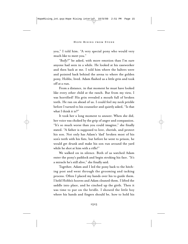you," I told him. "A very special pony who would very much like to meet you."

*"Really?"* he asked, with more emotion than I'm sure anyone had seen in a while. He looked at his caseworker and then back at me. I told him where the halters were and pointed back behind the arena to where the golden pony, Hobbs, lived. Adam flashed us a little grin and took off at a run.

From a distance, in that moment he must have looked like every other child at the ranch. But from my view, I was horrified! His grin revealed a mouth full of broken teeth. He ran on ahead of us. I could feel my neck prickle before I turned to his counselor and quietly asked, "Is that what I think it is?"

It took her a long moment to answer. When she did, her voice was choked by the grip of anger and compassion. "It's so much worse than you could imagine," she finally stated. "A father is supposed to love, cherish, and protect his son. Not only has Adam's 'dad' broken most of his son's teeth with his fists, but before he went to prison, he would get drunk and make his son run around the yard while he shot at him with a rifle!"

We walked on in silence. Both of us watched Adam enter the pony's paddock and begin stroking his face. "It's a miracle he's still alive," she finally said.

Together, Adam and I led the pony back to the hitching post and went through the grooming and tacking process. Often I placed my hands over his to guide them. I held Hobbs's hooves and Adam cleaned them. I lifted the saddle into place, and he cinched up the girth. Then it was time to put on the bridle. I showed the little boy where his hands and fingers should be, how to hold his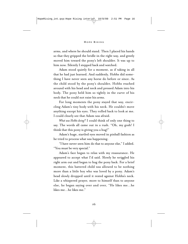arms, and where he should stand. Then I placed his hands so that they gripped the bridle in the right way, and gently moved him toward the pony's left shoulder. It was up to him now. Silently I stepped back and watched.

Adam stood quietly for a moment, as if taking in all that he had just learned. And suddenly, Hobbs did something I have never seen any horse do before or since. As the child stood by the pony's shoulder, Hobbs reached around with his head and neck and pressed Adam into his body. The pony held him so tightly in the curve of his neck that he could not raise his arms.

For long moments the pony stayed that way, encircling Adam's tiny body with his neck. He couldn't move anything except his eyes. They rolled back to look at me. I could clearly see that Adam was afraid.

*What was Hobbs doing?* I could think of only one thing to say. The words all came out in a rush. "Oh, my gosh! I think that this pony is giving you a hug!"

Adam's huge, startled eyes moved in pinball fashion as he tried to process what was happening.

"I have never seen him do that to anyone else," I added. "You must be very special."

Adam's face began to relax with my reassurance. He appeared to accept what I'd said. Slowly he wriggled his right arm out and began to hug the pony back. For a brief moment, this battered child was allowed to be nothing more than a little boy who was loved by a pony. Adam's head slowly dropped until it rested against Hobbs's neck. Like a whispered prayer, more to himself than to anyone else, he began saying over and over, "He likes me…he likes me…he likes me."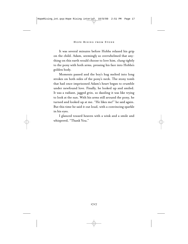It was several minutes before Hobbs relaxed his grip on the child. Adam, seemingly so overwhelmed that anything on this earth would choose to love him, clung tightly to the pony with both arms, pressing his face into Hobbs's golden body.

Moments passed and the boy's hug melted into long strokes on both sides of the pony's neck. The stony tomb that had once imprisoned Adam's heart began to crumble under newfound love. Finally, he looked up and smiled. It was a radiant, jagged grin, so dazzling it was like trying to look at the sun. With his arms still around the pony, he turned and looked up at me. "He likes me!" he said again. But this time he said it out loud, with a convincing sparkle in his eyes.

I glanced toward heaven with a wink and a smile and whispered, "Thank You."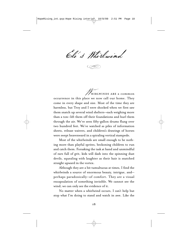Eli's Whirl wind

 $\infty$ 

Whirlwinds ARE a common occurrence in this place we now call our home. They come in every shape and size. Most of the time they are harmless, but Troy and I were shocked when we first saw them snatch up several wind shelters—each weighing more than a ton—lift them off their foundations and hurl them through the air. We've seen fifty-gallon drums flung over two hundred feet. We've watched as piles of information sheets, release waivers, and children's drawings of horses were swept heavenward in a spiraling vertical stampede.

Most of the whirlwinds are small enough to be nothing more than playful sprites, beckoning children to run and catch them. Forsaking the task at hand and unmindful of ears full of grit, kids will dash into the spinning dust devils, squealing with laughter as their hair is snatched straight upward in the vortex.

Although they are a bit tumultuous at times, I find the whirlwinds a source of enormous beauty, intrigue, and perhaps paradoxically—of comfort. They are a visual encapsulation of something invisible. We cannot see the wind; we can only see the evidence of it.

No matter when a whirlwind occurs, I can't help but stop what I'm doing to stand and watch in awe. Like the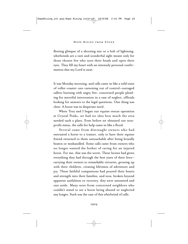fleeting glimpse of a shooting star or a bolt of lightning, whirlwinds are a rare and wonderful sight meant only for those chosen few who turn their heads and open their eyes. They fill my heart with an intensely personal confirmation that my Lord is near.

It was Monday morning, and calls came in like a wild train of roller-coaster cars careening out of control—outraged callers burning with angry fire, concerned people pleading for merciful intercession in a case of neglect, officials looking for answers to the legal questions. One thing was clear: A horse was in desperate need.

When Troy and I began our equine rescue operation at Crystal Peaks, we had no idea how much the area needed such a place. Even before we obtained our nonprofit status, the calls for help came in like a flood.

Several came from distraught owners who had entrusted a horse to a trainer, only to have their equine friend returned to them untouchable after being brutally beaten or mishandled. Some calls came from owners who no longer wanted the bother of caring for an injured horse. For me, that was the worst. These horses had given everything they had through the best years of their lives carrying their owners to remarkable victories, growing up with their children, creating lifetimes of adventure and joy. These faithful companions had poured their hearts and strength into their families, and now, broken beyond apparent usefulness or recovery, they were unwanted and cast aside. Many were from concerned neighbors who couldn't stand to see a horse being abused or neglected any longer. Such was the case of this whirlwind of calls.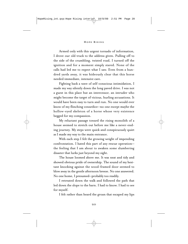Armed only with this urgent tornado of information, I drove our old truck to the address given. Pulling off to the side of the crumbling, twisted road, I turned off the ignition and for a moment simply stared. None of the calls had led me to expect what I saw. Even from a hundred yards away, it was hideously clear that this horse needed immediate, intensive care.

Fighting back a wave of self-conscious intimidation, I made my way silently down the long paved drive. I was not a guest in this place but an intercessor, an intruder who might become the target of vicious, hurling accusations. It would have been easy to turn and run. No one would ever know of my flinching cowardice—no one except maybe the hollow-eyed skeleton of a horse whose very existence begged for my compassion.

My reluctant passage toward the rising monolith of a house seemed to stretch out before me like a never-ending journey. My steps were quick and conspicuously quiet as I made my way to the main entrance.

With each step I felt the growing weight of impending confrontation. I hated this part of any rescue operation the feeling that I am about to awaken some slumbering disaster that lurks just beyond my sight.

The house loomed above me. It was neat and tidy and showed obvious pride of ownership. The sound of my hesitant knocking against the wood-framed door seemed to blow away in the gentle afternoon breeze. No one answered. No one home, I presumed—probably too readily.

I retreated down the walk and followed the path that led down the slope to the barn. I had to know. I had to see for myself.

I felt rather than heard the groan that escaped my lips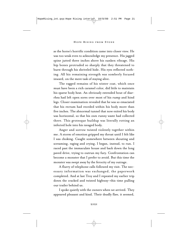as the horse's horrific condition came into closer view. He was too weak even to acknowledge my presence. His jagged spine jutted three inches above his sunken ribcage. His hip bones protruded so sharply that they threatened to burst through his shriveled hide. His eyes reflected nothing. All his remaining strength was somberly focused inward, on the mere task of staying alive.

The ragged remains of his winter coat, which once must have been a rich caramel color, did little to maintain his sparse body heat. An obviously extended bout of diarrhea had left open sores over most of his rump and hind legs. Closer examination revealed that he was so emaciated that his rectum had receded within his body more than five inches. The abnormal tunnel that now exited his body was horizontal, so that his own runny waste had collected there. This grotesque buildup was literally rotting an infected hole into his ravaged body.

Anger and sorrow twisted violently together within me. A storm of emotion gripped my throat until I felt like I was choking. Caught somewhere between shouting and screaming, raging and crying, I began, instead, to run. I raced past the immaculate house and back down the long paved drive, trying to outrun my fury. Confrontation can become a monster that I prefer to avoid. But this time the monster was swept away by the ferocity of my outrage.

A flurry of telephone calls followed my visit. The necessary information was exchanged, the paperwork completed. And at last Troy and I repeated my earlier trip down the cracked and twisted highway—this time pulling our trailer behind us.

I spoke quietly with the owners when we arrived. They appeared pleasant and kind. Their deadly flaw, it seemed,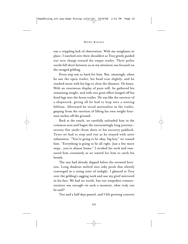was a crippling lack of observation. With my sunglasses in place, I watched over their shoulders as Troy gently guided our new charge toward the empty trailer. Their polite words fell short between us as my attention was focused on the ravaged gelding.

Every step was so hard for him. But, amazingly, when he saw the open trailer, his head rose slightly, and he reached more with his legs to close the distance. He knew. With an enormous display of pure will, he gathered his remaining weight, and with one great effort lunged off his hind legs into the horse trailer. He was like the survivor of a shipwreck, giving all he had to leap into a waiting lifeboat. Afterward he stood motionless in the trailer, gasping from the exertion of lifting his own weight fourteen inches off the ground.

Back at the ranch, we carefully unloaded him in the common area and began the excruciatingly long journey seventy-five yards—from there to his recovery paddock. Twice we had to stop and rest as he swayed with utter exhaustion. "You're going to be okay, big boy," we coaxed him. "Everything is going to be all right. Just a few more steps…you're almost home." I stroked his neck and reassured him constantly as we waited for him to catch his breath.

The sun had already slipped below the serrated horizon. Long shadows melted into inky pools that silently converged in a rising wave of twilight. I glanced at Troy over the gelding's sagging neck and saw my grief mirrored in his face. We had no words, but our unspoken communication was enough—in such a moment, what truly can be said?

Two and a half days passed, and I felt growing concern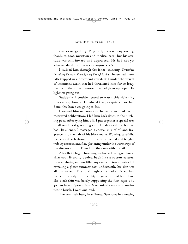for our sweet gelding. Physically he was progressing, thanks to good nutrition and medical care. But his attitude was still inward and depressed. He had not yet acknowledged my presence or anyone else's.

I studied him through the fence, thinking, *Somewhere I'm missing the mark. I'm not getting through to him.* He seemed mentally trapped in a downward spiral, still under the weight of imminent death that had threatened him for so long. Even with that threat removed, he had given up hope. His light was going out.

Suddenly, I couldn't stand to watch this sickening process any longer. I realized that, despite all we had done, this horse was going to die.

I wanted him to know that he was cherished. With measured deliberation, I led him back down to the hitching post. After tying him off, I put together a special tray of all our finest grooming aids. He deserved the best we had. In silence, I massaged a special mix of oil and fragrance into the hair of his black mane. Working carefully, I separated each strand until the once matted and tangled web lay smooth and flat, glistening under the warm rays of the afternoon sun. Then I did the same with his tail.

After that I began brushing his body. His ragged buckskin coat literally peeled back like a rotten carpet. Overwhelming sadness filled my eyes with tears. Instead of revealing a glossy summer coat underneath, his skin was all but naked. The total neglect he had suffered had robbed his body of the ability to grow normal body hair. His black skin was barely supporting the first signs of a golden layer of peach fuzz. Mechanically my arms continued to brush. I wept out loud.

The warm air hung in stillness. Sparrows in a nesting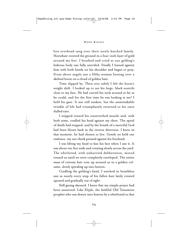box overhead sang over their newly hatched family. Horsehair covered the ground in a four-inch layer of gold around my feet. I brushed and cried as our gelding's hideous body was fully unveiled. Finally I leaned against him with both hands on his shoulder and began to pray. From above angels saw a filthy woman bowing over a skeletal horse on a cloud of golden hair.

Time slipped by. Then very subtly I felt the horse's weight shift. I looked up to see his large, black nostrils close to my face. He had curved his neck around as far as he could, and for the first time he was looking at me! I held his gaze. It was still sunken, but the unmistakable twinkle of life had triumphantly returned to his once dulled eyes.

I stepped toward his outstretched muzzle and, with both arms, cradled his head against my chest. The spiral of death had stopped, and by the breath of a merciful God had been blown back in the reverse direction. I knew in that moment, he had chosen to live. Gently we held our embrace, my wet cheek pressed against his forehead.

I was lifting my head to kiss his face when I saw it. It was about ten feet wide and rotating slowly across the yard. The whirlwind, with unhurried deliberation, moved toward us until we were completely enveloped. The entire mass of cottony hair rose up around us in a golden column, slowly spiraling up into heaven.

Cradling the gelding's head, I watched in breathless awe as nearly every wisp of his fallen hair lazily rotated upward and gradually out of sight.

Still gazing skyward, I knew that my simple prayer had been answered. Like Elijah, the faithful Old Testament prophet who was drawn into heaven by a whirlwind so that